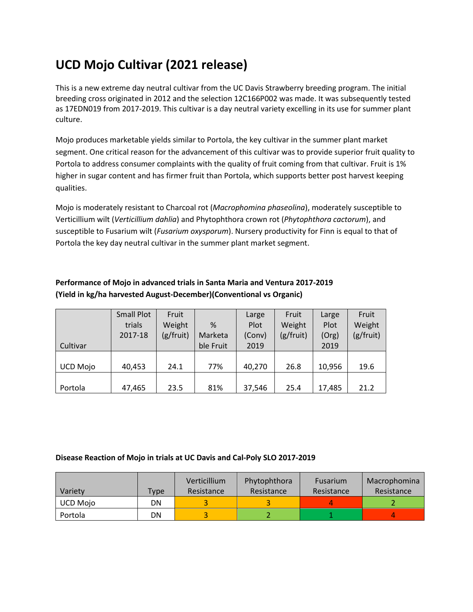## **UCD Mojo Cultivar (2021 release)**

This is a new extreme day neutral cultivar from the UC Davis Strawberry breeding program. The initial breeding cross originated in 2012 and the selection 12C166P002 was made. It was subsequently tested as 17EDN019 from 2017-2019. This cultivar is a day neutral variety excelling in its use for summer plant culture.

Mojo produces marketable yields similar to Portola, the key cultivar in the summer plant market segment. One critical reason for the advancement of this cultivar was to provide superior fruit quality to Portola to address consumer complaints with the quality of fruit coming from that cultivar. Fruit is 1% higher in sugar content and has firmer fruit than Portola, which supports better post harvest keeping qualities.

Mojo is moderately resistant to Charcoal rot (*Macrophomina phaseolina*), moderately susceptible to Verticillium wilt (*Verticillium dahlia*) and Phytophthora crown rot (*Phytophthora cactorum*), and susceptible to Fusarium wilt (*Fusarium oxysporum*). Nursery productivity for Finn is equal to that of Portola the key day neutral cultivar in the summer plant market segment.

## **Performance of Mojo in advanced trials in Santa Maria and Ventura 2017-2019 (Yield in kg/ha harvested August-December)(Conventional vs Organic)**

|                 | <b>Small Plot</b> | Fruit     |           | Large  | Fruit     | Large  | Fruit     |
|-----------------|-------------------|-----------|-----------|--------|-----------|--------|-----------|
|                 | trials            | Weight    | %         | Plot   | Weight    | Plot   | Weight    |
|                 | 2017-18           | (g/fruit) | Marketa   | (Conv) | (g/fruit) | (Org)  | (g/fruit) |
| Cultivar        |                   |           | ble Fruit | 2019   |           | 2019   |           |
|                 |                   |           |           |        |           |        |           |
| <b>UCD Mojo</b> | 40,453            | 24.1      | 77%       | 40,270 | 26.8      | 10,956 | 19.6      |
|                 |                   |           |           |        |           |        |           |
| Portola         | 47,465            | 23.5      | 81%       | 37,546 | 25.4      | 17,485 | 21.2      |

## **Disease Reaction of Mojo in trials at UC Davis and Cal-Poly SLO 2017-2019**

|                 |      | Verticillium | Phytophthora | <b>Fusarium</b> | Macrophomina |
|-----------------|------|--------------|--------------|-----------------|--------------|
| Variety         | Type | Resistance   | Resistance   | Resistance      | Resistance   |
| <b>UCD Moio</b> | DN   |              |              |                 |              |
| Portola         | DN   |              |              |                 |              |